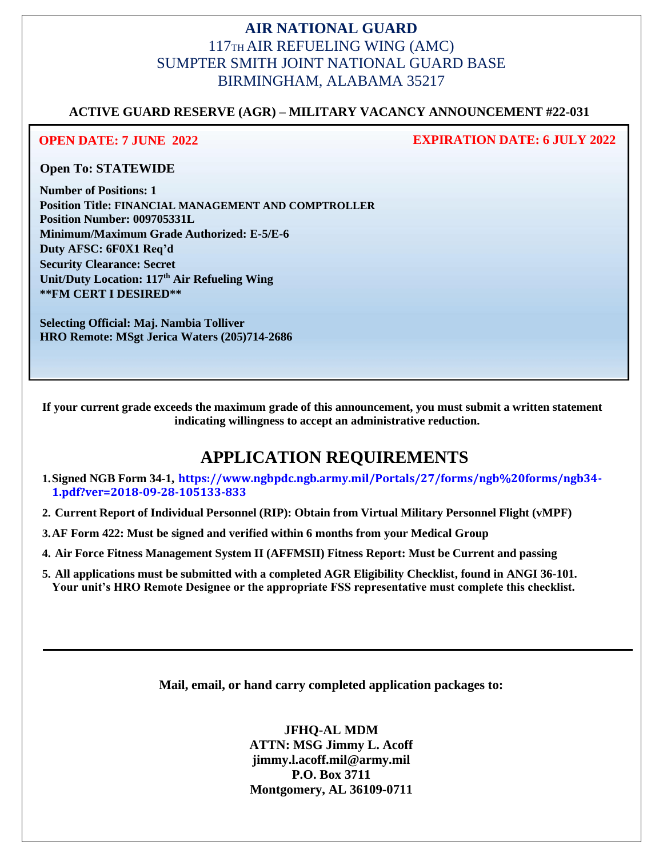## **AIR NATIONAL GUARD** 117TH AIR REFUELING WING (AMC) SUMPTER SMITH JOINT NATIONAL GUARD BASE BIRMINGHAM, ALABAMA 35217

### **ACTIVE GUARD RESERVE (AGR) – MILITARY VACANCY ANNOUNCEMENT #22-031**

#### **OPEN DATE: 7 JUNE 2022 EXPIRATION DATE: 6 JULY 2022**

**Open To: STATEWIDE**

**Number of Positions: 1 Position Title: FINANCIAL MANAGEMENT AND COMPTROLLER Position Number: 009705331L Minimum/Maximum Grade Authorized: E-5/E-6 Duty AFSC: 6F0X1 Req'd Security Clearance: Secret Unit/Duty Location: 117th Air Refueling Wing \*\*FM CERT I DESIRED\*\***

**Selecting Official: Maj. Nambia Tolliver HRO Remote: MSgt Jerica Waters (205)714-2686**

**If your current grade exceeds the maximum grade of this announcement, you must submit a written statement indicating willingness to accept an administrative reduction.**

# **APPLICATION REQUIREMENTS**

- **1.Signed NGB Form 34-1, https://www.ngbpdc.ngb.army.mil/Portals/27/forms/ngb%20forms/ngb34- 1.pdf?ver=2018-09-28-105133-833**
- **2. Current Report of Individual Personnel (RIP): Obtain from Virtual Military Personnel Flight (vMPF)**
- **3.AF Form 422: Must be signed and verified within 6 months from your Medical Group**
- **4. Air Force Fitness Management System II (AFFMSII) Fitness Report: Must be Current and passing**
- **5. All applications must be submitted with a completed AGR Eligibility Checklist, found in ANGI 36-101. Your unit's HRO Remote Designee or the appropriate FSS representative must complete this checklist.**

**Mail, email, or hand carry completed application packages to:**

**JFHQ-AL MDM ATTN: MSG Jimmy L. Acoff jimmy.l.acoff.mil@army.mil P.O. Box 3711 Montgomery, AL 36109-0711**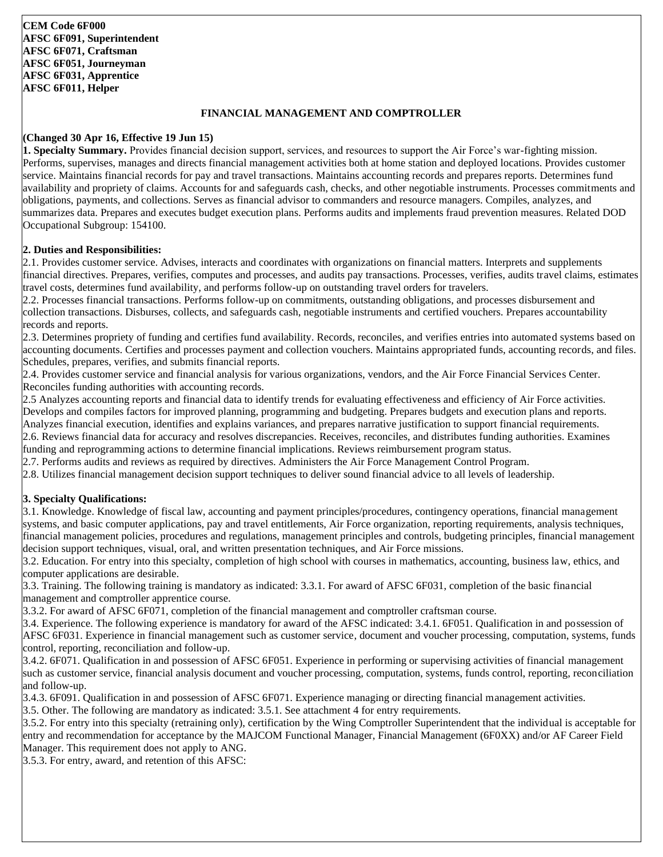#### **FINANCIAL MANAGEMENT AND COMPTROLLER**

#### **(Changed 30 Apr 16, Effective 19 Jun 15)**

**1. Specialty Summary.** Provides financial decision support, services, and resources to support the Air Force's war-fighting mission. Performs, supervises, manages and directs financial management activities both at home station and deployed locations. Provides customer service. Maintains financial records for pay and travel transactions. Maintains accounting records and prepares reports. Determines fund availability and propriety of claims. Accounts for and safeguards cash, checks, and other negotiable instruments. Processes commitments and obligations, payments, and collections. Serves as financial advisor to commanders and resource managers. Compiles, analyzes, and summarizes data. Prepares and executes budget execution plans. Performs audits and implements fraud prevention measures. Related DOD Occupational Subgroup: 154100.

#### **2. Duties and Responsibilities:**

2.1. Provides customer service. Advises, interacts and coordinates with organizations on financial matters. Interprets and supplements financial directives. Prepares, verifies, computes and processes, and audits pay transactions. Processes, verifies, audits travel claims, estimates travel costs, determines fund availability, and performs follow-up on outstanding travel orders for travelers.

2.2. Processes financial transactions. Performs follow-up on commitments, outstanding obligations, and processes disbursement and collection transactions. Disburses, collects, and safeguards cash, negotiable instruments and certified vouchers. Prepares accountability records and reports.

2.3. Determines propriety of funding and certifies fund availability. Records, reconciles, and verifies entries into automated systems based on accounting documents. Certifies and processes payment and collection vouchers. Maintains appropriated funds, accounting records, and files. Schedules, prepares, verifies, and submits financial reports.

2.4. Provides customer service and financial analysis for various organizations, vendors, and the Air Force Financial Services Center. Reconciles funding authorities with accounting records.

2.5 Analyzes accounting reports and financial data to identify trends for evaluating effectiveness and efficiency of Air Force activities. Develops and compiles factors for improved planning, programming and budgeting. Prepares budgets and execution plans and reports. Analyzes financial execution, identifies and explains variances, and prepares narrative justification to support financial requirements.

2.6. Reviews financial data for accuracy and resolves discrepancies. Receives, reconciles, and distributes funding authorities. Examines funding and reprogramming actions to determine financial implications. Reviews reimbursement program status.

2.7. Performs audits and reviews as required by directives. Administers the Air Force Management Control Program.

2.8. Utilizes financial management decision support techniques to deliver sound financial advice to all levels of leadership.

#### **3. Specialty Qualifications:**

3.1. Knowledge. Knowledge of fiscal law, accounting and payment principles/procedures, contingency operations, financial management systems, and basic computer applications, pay and travel entitlements, Air Force organization, reporting requirements, analysis techniques, financial management policies, procedures and regulations, management principles and controls, budgeting principles, financial management decision support techniques, visual, oral, and written presentation techniques, and Air Force missions.

3.2. Education. For entry into this specialty, completion of high school with courses in mathematics, accounting, business law, ethics, and computer applications are desirable.

3.3. Training. The following training is mandatory as indicated: 3.3.1. For award of AFSC 6F031, completion of the basic financial management and comptroller apprentice course.

3.3.2. For award of AFSC 6F071, completion of the financial management and comptroller craftsman course.

3.4. Experience. The following experience is mandatory for award of the AFSC indicated: 3.4.1. 6F051. Qualification in and possession of AFSC 6F031. Experience in financial management such as customer service, document and voucher processing, computation, systems, funds control, reporting, reconciliation and follow-up.

3.4.2. 6F071. Qualification in and possession of AFSC 6F051. Experience in performing or supervising activities of financial management such as customer service, financial analysis document and voucher processing, computation, systems, funds control, reporting, reconciliation and follow-up.

3.4.3. 6F091. Qualification in and possession of AFSC 6F071. Experience managing or directing financial management activities.

3.5. Other. The following are mandatory as indicated: 3.5.1. See attachment 4 for entry requirements.

3.5.2. For entry into this specialty (retraining only), certification by the Wing Comptroller Superintendent that the individual is acceptable for entry and recommendation for acceptance by the MAJCOM Functional Manager, Financial Management (6F0XX) and/or AF Career Field Manager. This requirement does not apply to ANG.

3.5.3. For entry, award, and retention of this AFSC: